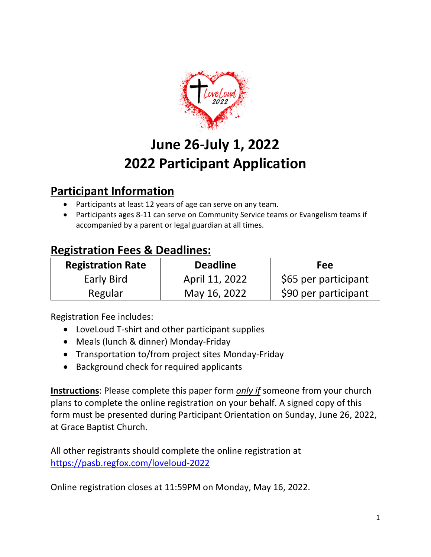

# **June 26-July 1, 2022 2022 Participant Application**

## **Participant Information**

- Participants at least 12 years of age can serve on any team.
- Participants ages 8-11 can serve on Community Service teams or Evangelism teams if accompanied by a parent or legal guardian at all times.

## **Registration Fees & Deadlines:**

| <b>Registration Rate</b> | <b>Deadline</b> | Fee                  |
|--------------------------|-----------------|----------------------|
| Early Bird               | April 11, 2022  | \$65 per participant |
| Regular                  | May 16, 2022    | \$90 per participant |

Registration Fee includes:

- LoveLoud T-shirt and other participant supplies
- Meals (lunch & dinner) Monday-Friday
- Transportation to/from project sites Monday-Friday
- Background check for required applicants

**Instructions**: Please complete this paper form *only if* someone from your church plans to complete the online registration on your behalf. A signed copy of this form must be presented during Participant Orientation on Sunday, June 26, 2022, at Grace Baptist Church.

All other registrants should complete the online registration at https://pasb.regfox.com/loveloud-2022

Online registration closes at 11:59PM on Monday, May 16, 2022.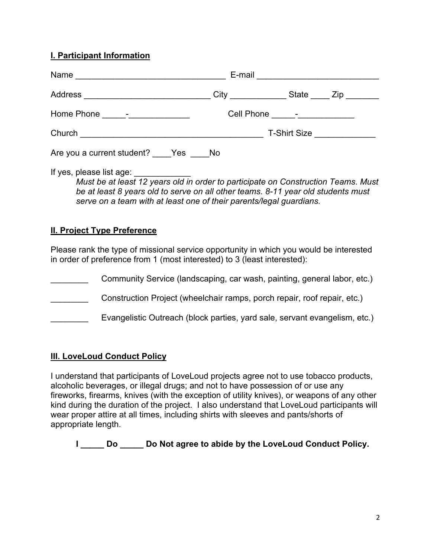#### **I. Participant Information**

|                                                                                   | E-mail <u>__________________________</u> |
|-----------------------------------------------------------------------------------|------------------------------------------|
| Address _______________________________City ______________State _____ Zip _______ |                                          |
|                                                                                   | Cell Phone ______-_______________        |
|                                                                                   |                                          |
| Are you a current student? _____ Yes _____ No                                     |                                          |

If yes, please list age: *Must be at least 12 years old in order to participate on Construction Teams*. *Must be at least 8 years old to serve on all other teams. 8-11 year old students must serve on a team with at least one of their parents/legal guardians.*

#### **II. Project Type Preference**

Please rank the type of missional service opportunity in which you would be interested in order of preference from 1 (most interested) to 3 (least interested):

Community Service (landscaping, car wash, painting, general labor, etc.) **EXECONSTREE CONSTRET CONSTRET CONSTRET CONSTRET CONSTRET CONSTRET CONSTRET CONSTRET CONSTRET CONSTRET CONSTRET** Evangelistic Outreach (block parties, yard sale, servant evangelism, etc.)

#### **III. LoveLoud Conduct Policy**

I understand that participants of LoveLoud projects agree not to use tobacco products, alcoholic beverages, or illegal drugs; and not to have possession of or use any fireworks, firearms, knives (with the exception of utility knives), or weapons of any other kind during the duration of the project. I also understand that LoveLoud participants will wear proper attire at all times, including shirts with sleeves and pants/shorts of appropriate length.

**I \_\_\_\_\_ Do \_\_\_\_\_ Do Not agree to abide by the LoveLoud Conduct Policy.**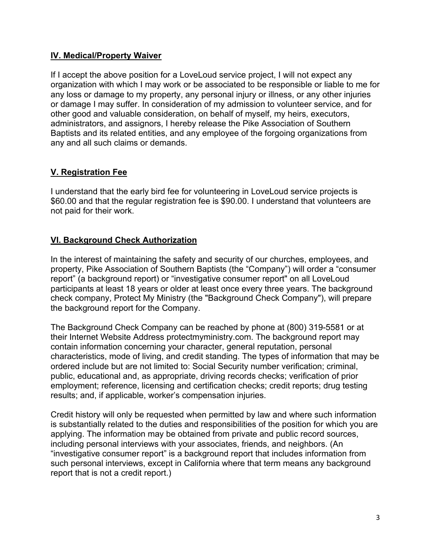#### **IV. Medical/Property Waiver**

If I accept the above position for a LoveLoud service project, I will not expect any organization with which I may work or be associated to be responsible or liable to me for any loss or damage to my property, any personal injury or illness, or any other injuries or damage I may suffer. In consideration of my admission to volunteer service, and for other good and valuable consideration, on behalf of myself, my heirs, executors, administrators, and assignors, I hereby release the Pike Association of Southern Baptists and its related entities, and any employee of the forgoing organizations from any and all such claims or demands.

#### **V. Registration Fee**

I understand that the early bird fee for volunteering in LoveLoud service projects is \$60.00 and that the regular registration fee is \$90.00. I understand that volunteers are not paid for their work.

#### **VI. Background Check Authorization**

In the interest of maintaining the safety and security of our churches, employees, and property, Pike Association of Southern Baptists (the "Company") will order a "consumer report" (a background report) or "investigative consumer report" on all LoveLoud participants at least 18 years or older at least once every three years. The background check company, Protect My Ministry (the "Background Check Company"), will prepare the background report for the Company.

The Background Check Company can be reached by phone at (800) 319-5581 or at their Internet Website Address protectmyministry.com. The background report may contain information concerning your character, general reputation, personal characteristics, mode of living, and credit standing. The types of information that may be ordered include but are not limited to: Social Security number verification; criminal, public, educational and, as appropriate, driving records checks; verification of prior employment; reference, licensing and certification checks; credit reports; drug testing results; and, if applicable, worker's compensation injuries.

Credit history will only be requested when permitted by law and where such information is substantially related to the duties and responsibilities of the position for which you are applying. The information may be obtained from private and public record sources, including personal interviews with your associates, friends, and neighbors. (An "investigative consumer report" is a background report that includes information from such personal interviews, except in California where that term means any background report that is not a credit report.)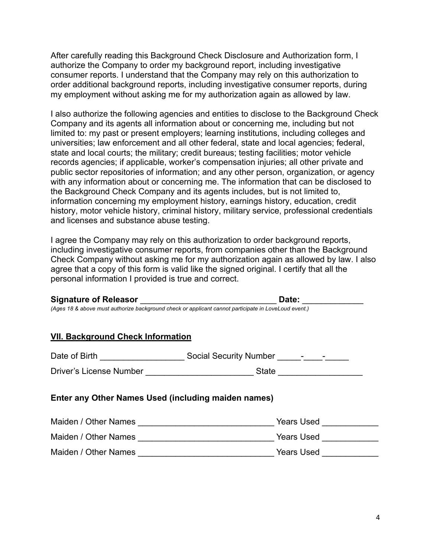After carefully reading this Background Check Disclosure and Authorization form, I authorize the Company to order my background report, including investigative consumer reports. I understand that the Company may rely on this authorization to order additional background reports, including investigative consumer reports, during my employment without asking me for my authorization again as allowed by law.

I also authorize the following agencies and entities to disclose to the Background Check Company and its agents all information about or concerning me, including but not limited to: my past or present employers; learning institutions, including colleges and universities; law enforcement and all other federal, state and local agencies; federal, state and local courts; the military; credit bureaus; testing facilities; motor vehicle records agencies; if applicable, worker's compensation injuries; all other private and public sector repositories of information; and any other person, organization, or agency with any information about or concerning me. The information that can be disclosed to the Background Check Company and its agents includes, but is not limited to, information concerning my employment history, earnings history, education, credit history, motor vehicle history, criminal history, military service, professional credentials and licenses and substance abuse testing.

I agree the Company may rely on this authorization to order background reports, including investigative consumer reports, from companies other than the Background Check Company without asking me for my authorization again as allowed by law. I also agree that a copy of this form is valid like the signed original. I certify that all the personal information I provided is true and correct.

| <b>Signature of Releasor</b>                                                                         | Date: |
|------------------------------------------------------------------------------------------------------|-------|
| (Ages 18 & above must authorize background check or applicant cannot participate in LoveLoud event.) |       |
|                                                                                                      |       |
| <b>VII. Background Check Information</b>                                                             |       |

| Date of Birth | <b>Social Security Number</b> |  |  |
|---------------|-------------------------------|--|--|
|               |                               |  |  |

Driver's License Number **Example 20** State  $\sim$  State  $\sim$ 

**Enter any Other Names Used (including maiden names)**

| Maiden / Other Names | Years Used        |
|----------------------|-------------------|
| Maiden / Other Names | <b>Years Used</b> |
| Maiden / Other Names | Years Used        |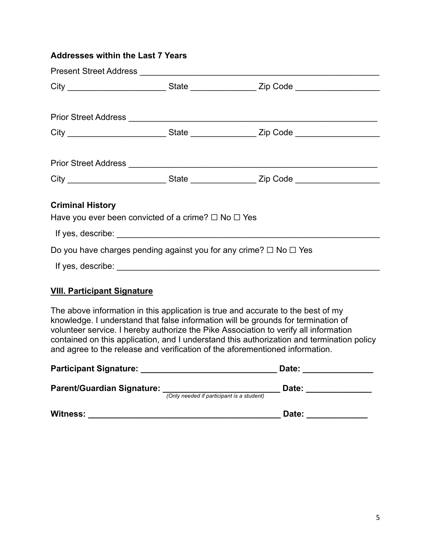#### **Addresses within the Last 7 Years**

|                                                                                          | City ____________________________State __________________Zip Code _______________ |
|------------------------------------------------------------------------------------------|-----------------------------------------------------------------------------------|
|                                                                                          |                                                                                   |
|                                                                                          | City ____________________________State __________________Zip Code _______________ |
|                                                                                          |                                                                                   |
|                                                                                          | City ___________________________State __________________Zip Code ________________ |
| <b>Criminal History</b><br>Have you ever been convicted of a crime? $\Box$ No $\Box$ Yes |                                                                                   |
| Do you have charges pending against you for any crime? $\Box$ No $\Box$ Yes              |                                                                                   |
|                                                                                          |                                                                                   |
|                                                                                          |                                                                                   |

#### **VIII. Participant Signature**

The above information in this application is true and accurate to the best of my knowledge. I understand that false information will be grounds for termination of volunteer service. I hereby authorize the Pike Association to verify all information contained on this application, and I understand this authorization and termination policy and agree to the release and verification of the aforementioned information.

| <b>Participant Signature:</b>     |                                           | Date: |
|-----------------------------------|-------------------------------------------|-------|
| <b>Parent/Guardian Signature:</b> | (Only needed if participant is a student) | Date: |
| <b>Witness:</b>                   |                                           | Date: |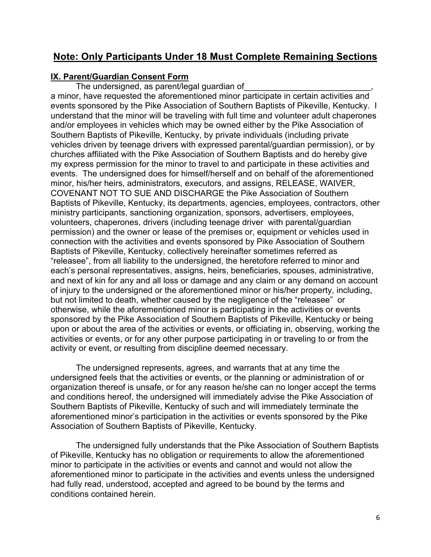### **Note: Only Participants Under 18 Must Complete Remaining Sections**

#### **IX. Parent/Guardian Consent Form**

The undersigned, as parent/legal guardian of a minor, have requested the aforementioned minor participate in certain activities and events sponsored by the Pike Association of Southern Baptists of Pikeville, Kentucky. I understand that the minor will be traveling with full time and volunteer adult chaperones and/or employees in vehicles which may be owned either by the Pike Association of Southern Baptists of Pikeville, Kentucky, by private individuals (including private vehicles driven by teenage drivers with expressed parental/guardian permission), or by churches affiliated with the Pike Association of Southern Baptists and do hereby give my express permission for the minor to travel to and participate in these activities and events. The undersigned does for himself/herself and on behalf of the aforementioned minor, his/her heirs, administrators, executors, and assigns, RELEASE, WAIVER, COVENANT NOT TO SUE AND DISCHARGE the Pike Association of Southern Baptists of Pikeville, Kentucky, its departments, agencies, employees, contractors, other ministry participants, sanctioning organization, sponsors, advertisers, employees, volunteers, chaperones, drivers (including teenage driver with parental/guardian permission) and the owner or lease of the premises or, equipment or vehicles used in connection with the activities and events sponsored by Pike Association of Southern Baptists of Pikeville, Kentucky, collectively hereinafter sometimes referred as "releasee", from all liability to the undersigned, the heretofore referred to minor and each's personal representatives, assigns, heirs, beneficiaries, spouses, administrative, and next of kin for any and all loss or damage and any claim or any demand on account of injury to the undersigned or the aforementioned minor or his/her property, including, but not limited to death, whether caused by the negligence of the "releasee" or otherwise, while the aforementioned minor is participating in the activities or events sponsored by the Pike Association of Southern Baptists of Pikeville, Kentucky or being upon or about the area of the activities or events, or officiating in, observing, working the activities or events, or for any other purpose participating in or traveling to or from the activity or event, or resulting from discipline deemed necessary.

The undersigned represents, agrees, and warrants that at any time the undersigned feels that the activities or events, or the planning or administration of or organization thereof is unsafe, or for any reason he/she can no longer accept the terms and conditions hereof, the undersigned will immediately advise the Pike Association of Southern Baptists of Pikeville, Kentucky of such and will immediately terminate the aforementioned minor's participation in the activities or events sponsored by the Pike Association of Southern Baptists of Pikeville, Kentucky.

The undersigned fully understands that the Pike Association of Southern Baptists of Pikeville, Kentucky has no obligation or requirements to allow the aforementioned minor to participate in the activities or events and cannot and would not allow the aforementioned minor to participate in the activities and events unless the undersigned had fully read, understood, accepted and agreed to be bound by the terms and conditions contained herein.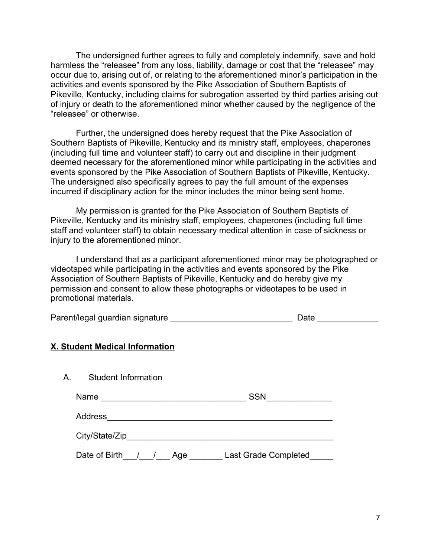The undersigned further agrees to fully and completely indemnify, save and hold harmless the "releasee" from any loss, liability, damage or cost that the "releasee" may occur due to, arising out of, or relating to the aforementioned minor's participation in the activities and events sponsored by the Pike Association of Southern Baptists of Pikeville, Kentucky, including claims for subrogation asserted by third parties arising out of injury or death to the aforementioned minor whether caused by the negligence of the "releasee" or otherwise.

Further, the undersigned does hereby request that the Pike Association of Southern Baptists of Pikeville, Kentucky and its ministry staff, employees, chaperones (including full time and volunteer staff) to carry out and discipline in their judgment deemed necessary for the aforementioned minor while participating in the activities and events sponsored by the Pike Association of Southern Baptists of Pikeville, Kentucky. The undersigned also specifically agrees to pay the full amount of the expenses incurred if disciplinary action for the minor includes the minor being sent home.

My permission is granted for the Pike Association of Southern Baptists of Pikeville, Kentucky and its ministry staff, employees, chaperones (including full time staff and volunteer staff) to obtain necessary medical attention in case of sickness or injury to the aforementioned minor.

I understand that as a participant aforementioned minor may be photographed or videotaped while participating in the activities and events sponsored by the Pike Association of Southern Baptists of Pikeville, Kentucky and do hereby give my permission and consent to allow these photographs or videotapes to be used in promotional materials.

| Parent/legal guardian signature | Date |
|---------------------------------|------|
|                                 |      |

#### **X. Student Medical Information**

| Student Information<br>A. |                                    |
|---------------------------|------------------------------------|
| Name                      | <b>SSN</b>                         |
| <b>Address</b>            |                                    |
| City/State/Zip            |                                    |
| Date of Birth             | <b>Last Grade Completed</b><br>Age |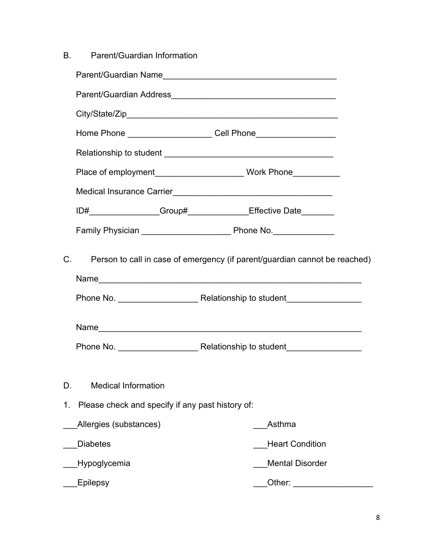| В.          | Parent/Guardian Information                      |                                                                            |  |
|-------------|--------------------------------------------------|----------------------------------------------------------------------------|--|
|             |                                                  | Parent/Guardian Name                                                       |  |
|             |                                                  |                                                                            |  |
|             |                                                  |                                                                            |  |
|             |                                                  | Home Phone ______________________Cell Phone____________________            |  |
|             |                                                  |                                                                            |  |
|             |                                                  |                                                                            |  |
|             |                                                  |                                                                            |  |
|             |                                                  | ID#_________________Group#_______________Effective Date________            |  |
|             |                                                  |                                                                            |  |
| $C_{\cdot}$ |                                                  | Person to call in case of emergency (if parent/guardian cannot be reached) |  |
|             |                                                  |                                                                            |  |
|             |                                                  |                                                                            |  |
| D.          | <b>Medical Information</b>                       |                                                                            |  |
| 1.          | Please check and specify if any past history of: |                                                                            |  |
|             | Allergies (substances)                           | Asthma                                                                     |  |
|             | <b>Diabetes</b>                                  | <b>Heart Condition</b>                                                     |  |
|             | Hypoglycemia                                     | <b>Mental Disorder</b>                                                     |  |
|             | Epilepsy                                         | Other:                                                                     |  |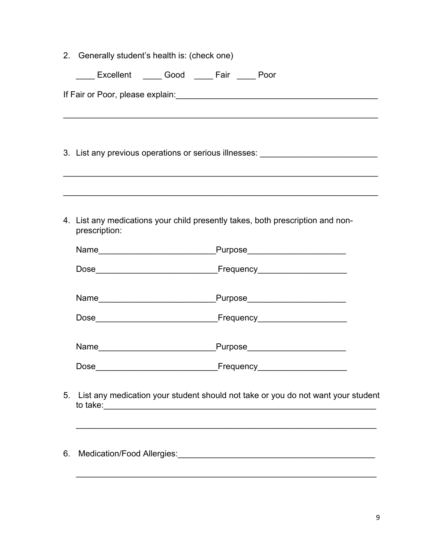|    |               | 2. Generally student's health is: (check one)<br>Excellent _____ Good _____ Fair _____ Poor |                                                                                  |
|----|---------------|---------------------------------------------------------------------------------------------|----------------------------------------------------------------------------------|
|    |               |                                                                                             | If Fair or Poor, please explain:<br><u>Fair or Poor</u> , please explain:        |
|    |               |                                                                                             | 3. List any previous operations or serious illnesses: __________________________ |
|    | prescription: |                                                                                             | 4. List any medications your child presently takes, both prescription and non-   |
|    |               |                                                                                             |                                                                                  |
|    |               |                                                                                             |                                                                                  |
|    |               |                                                                                             |                                                                                  |
|    |               |                                                                                             |                                                                                  |
|    |               |                                                                                             |                                                                                  |
|    |               |                                                                                             |                                                                                  |
| 5. |               |                                                                                             | List any medication your student should not take or you do not want your student |

\_\_\_\_\_\_\_\_\_\_\_\_\_\_\_\_\_\_\_\_\_\_\_\_\_\_\_\_\_\_\_\_\_\_\_\_\_\_\_\_\_\_\_\_\_\_\_\_\_\_\_\_\_\_\_\_\_\_\_\_\_\_\_\_

6. Medication/Food Allergies: **Supplier and Supplier Allergies** of the state of the state of the state of the state of the state of the state of the state of the state of the state of the state of the state of the state of